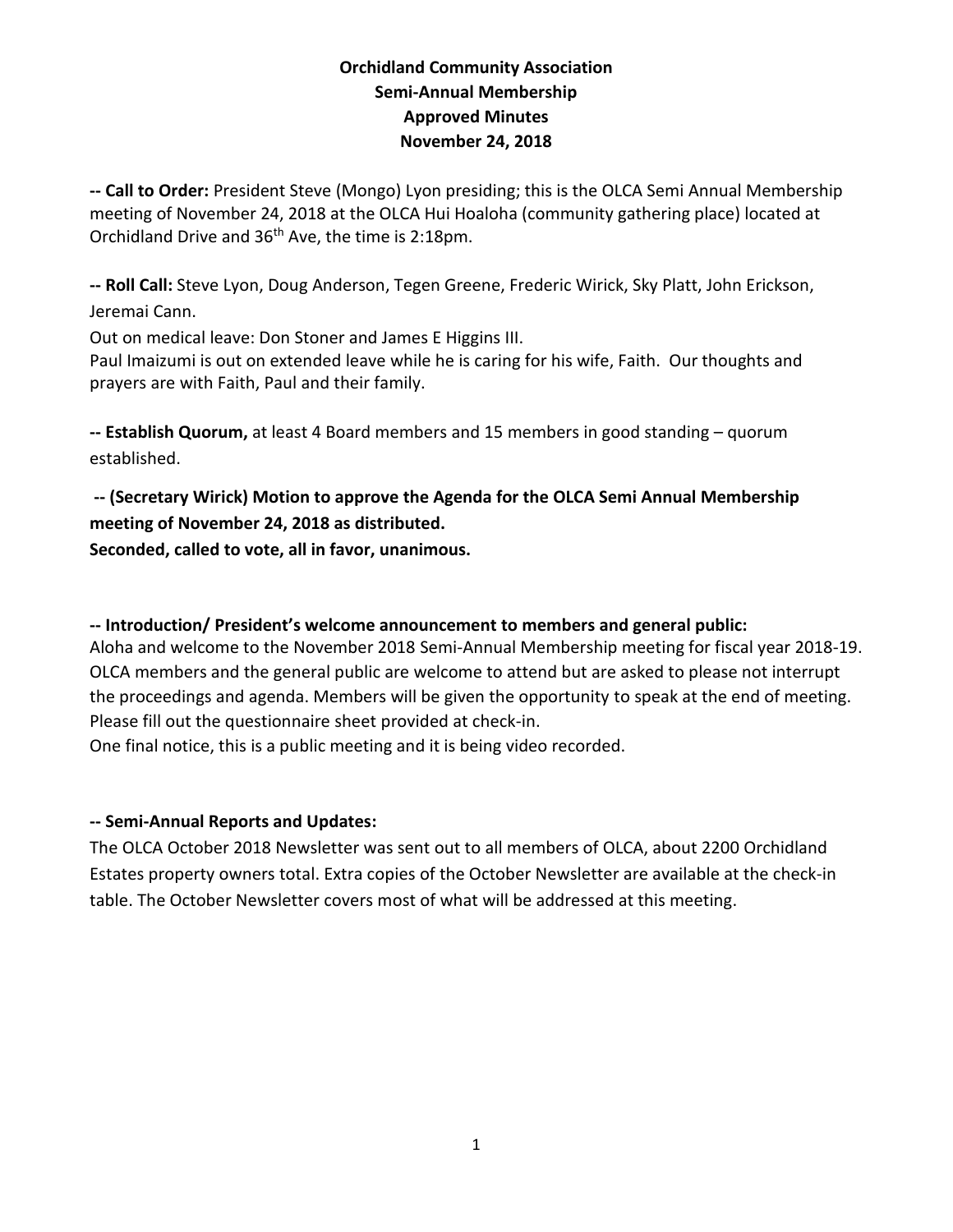# **Orchidland Community Association Semi-Annual Membership Approved Minutes November 24, 2018**

**-- Call to Order:** President Steve (Mongo) Lyon presiding; this is the OLCA Semi Annual Membership meeting of November 24, 2018 at the OLCA Hui Hoaloha (community gathering place) located at Orchidland Drive and 36th Ave, the time is 2:18pm.

**-- Roll Call:** Steve Lyon, Doug Anderson, Tegen Greene, Frederic Wirick, Sky Platt, John Erickson, Jeremai Cann.

Out on medical leave: Don Stoner and James E Higgins III.

Paul Imaizumi is out on extended leave while he is caring for his wife, Faith. Our thoughts and prayers are with Faith, Paul and their family.

**-- Establish Quorum,** at least 4 Board members and 15 members in good standing – quorum established.

**-- (Secretary Wirick) Motion to approve the Agenda for the OLCA Semi Annual Membership meeting of November 24, 2018 as distributed.** 

**Seconded, called to vote, all in favor, unanimous.** 

### **-- Introduction/ President's welcome announcement to members and general public:**

Aloha and welcome to the November 2018 Semi-Annual Membership meeting for fiscal year 2018-19. OLCA members and the general public are welcome to attend but are asked to please not interrupt the proceedings and agenda. Members will be given the opportunity to speak at the end of meeting. Please fill out the questionnaire sheet provided at check-in.

One final notice, this is a public meeting and it is being video recorded.

### **-- Semi-Annual Reports and Updates:**

The OLCA October 2018 Newsletter was sent out to all members of OLCA, about 2200 Orchidland Estates property owners total. Extra copies of the October Newsletter are available at the check-in table. The October Newsletter covers most of what will be addressed at this meeting.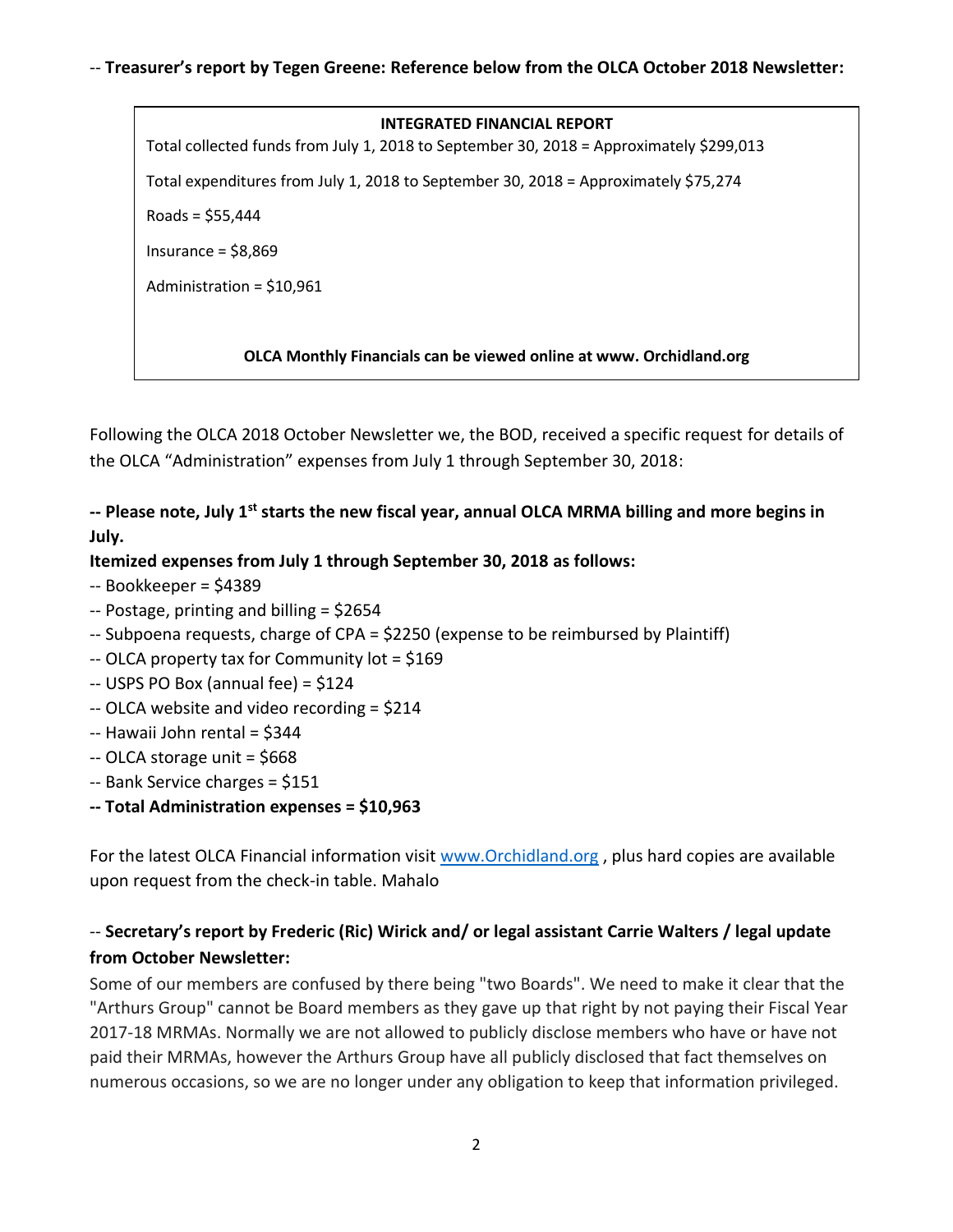#### **INTEGRATED FINANCIAL REPORT**

Total collected funds from July 1, 2018 to September 30, 2018 = Approximately \$299,013

Total expenditures from July 1, 2018 to September 30, 2018 = Approximately \$75,274

Roads = \$55,444

Insurance = \$8,869

Administration = \$10,961

#### **OLCA Monthly Financials can be viewed online at www. Orchidland.org**

Following the OLCA 2018 October Newsletter we, the BOD, received a specific request for details of the OLCA "Administration" expenses from July 1 through September 30, 2018:

# **-- Please note, July 1st starts the new fiscal year, annual OLCA MRMA billing and more begins in July.**

#### **Itemized expenses from July 1 through September 30, 2018 as follows:**

- -- Bookkeeper = \$4389
- -- Postage, printing and billing = \$2654
- -- Subpoena requests, charge of CPA = \$2250 (expense to be reimbursed by Plaintiff)
- -- OLCA property tax for Community lot = \$169
- -- USPS PO Box (annual fee) = \$124
- -- OLCA website and video recording = \$214
- -- Hawaii John rental = \$344
- -- OLCA storage unit = \$668
- -- Bank Service charges = \$151
- **-- Total Administration expenses = \$10,963**

For the latest OLCA Financial information visit [www.Orchidland.org](http://www.orchidland.org/) , plus hard copies are available upon request from the check-in table. Mahalo

# -- **Secretary's report by Frederic (Ric) Wirick and/ or legal assistant Carrie Walters / legal update from October Newsletter:**

Some of our members are confused by there being "two Boards". We need to make it clear that the "Arthurs Group" cannot be Board members as they gave up that right by not paying their Fiscal Year 2017-18 MRMAs. Normally we are not allowed to publicly disclose members who have or have not paid their MRMAs, however the Arthurs Group have all publicly disclosed that fact themselves on numerous occasions, so we are no longer under any obligation to keep that information privileged.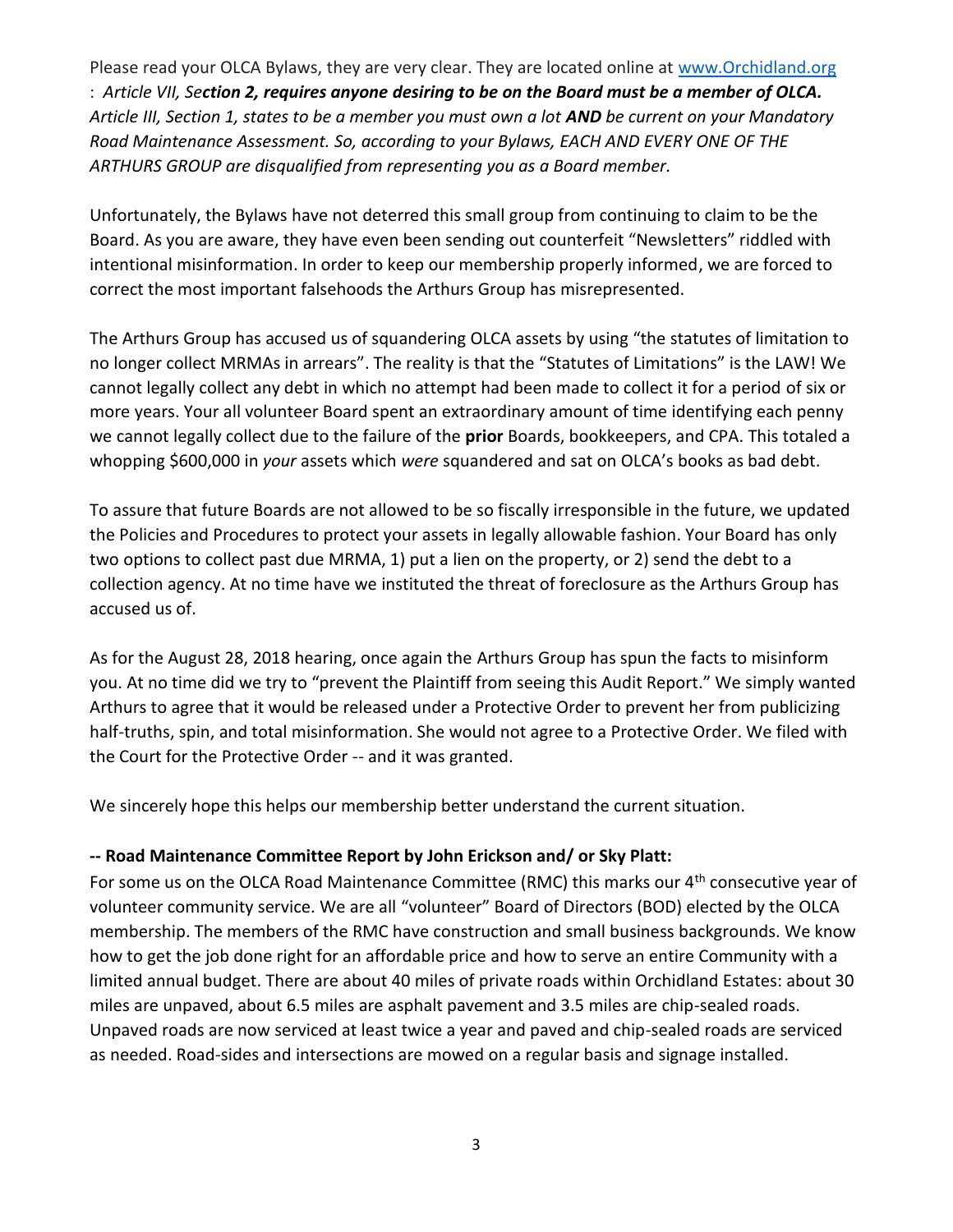Please read your OLCA Bylaws, they are very clear. They are located online at [www.Orchidland.org](http://www.orchidland.org/) : *Article VII, Section 2, requires anyone desiring to be on the Board must be a member of OLCA. Article III, Section 1, states to be a member you must own a lot AND be current on your Mandatory Road Maintenance Assessment. So, according to your Bylaws, EACH AND EVERY ONE OF THE ARTHURS GROUP are disqualified from representing you as a Board member.*

Unfortunately, the Bylaws have not deterred this small group from continuing to claim to be the Board. As you are aware, they have even been sending out counterfeit "Newsletters" riddled with intentional misinformation. In order to keep our membership properly informed, we are forced to correct the most important falsehoods the Arthurs Group has misrepresented.

The Arthurs Group has accused us of squandering OLCA assets by using "the statutes of limitation to no longer collect MRMAs in arrears". The reality is that the "Statutes of Limitations" is the LAW! We cannot legally collect any debt in which no attempt had been made to collect it for a period of six or more years. Your all volunteer Board spent an extraordinary amount of time identifying each penny we cannot legally collect due to the failure of the **prior** Boards, bookkeepers, and CPA. This totaled a whopping \$600,000 in *your* assets which *were* squandered and sat on OLCA's books as bad debt.

To assure that future Boards are not allowed to be so fiscally irresponsible in the future, we updated the Policies and Procedures to protect your assets in legally allowable fashion. Your Board has only two options to collect past due MRMA, 1) put a lien on the property, or 2) send the debt to a collection agency. At no time have we instituted the threat of foreclosure as the Arthurs Group has accused us of.

As for the August 28, 2018 hearing, once again the Arthurs Group has spun the facts to misinform you. At no time did we try to "prevent the Plaintiff from seeing this Audit Report." We simply wanted Arthurs to agree that it would be released under a Protective Order to prevent her from publicizing half-truths, spin, and total misinformation. She would not agree to a Protective Order. We filed with the Court for the Protective Order -- and it was granted.

We sincerely hope this helps our membership better understand the current situation.

### **-- Road Maintenance Committee Report by John Erickson and/ or Sky Platt:**

For some us on the OLCA Road Maintenance Committee (RMC) this marks our 4<sup>th</sup> consecutive year of volunteer community service. We are all "volunteer" Board of Directors (BOD) elected by the OLCA membership. The members of the RMC have construction and small business backgrounds. We know how to get the job done right for an affordable price and how to serve an entire Community with a limited annual budget. There are about 40 miles of private roads within Orchidland Estates: about 30 miles are unpaved, about 6.5 miles are asphalt pavement and 3.5 miles are chip-sealed roads. Unpaved roads are now serviced at least twice a year and paved and chip-sealed roads are serviced as needed. Road-sides and intersections are mowed on a regular basis and signage installed.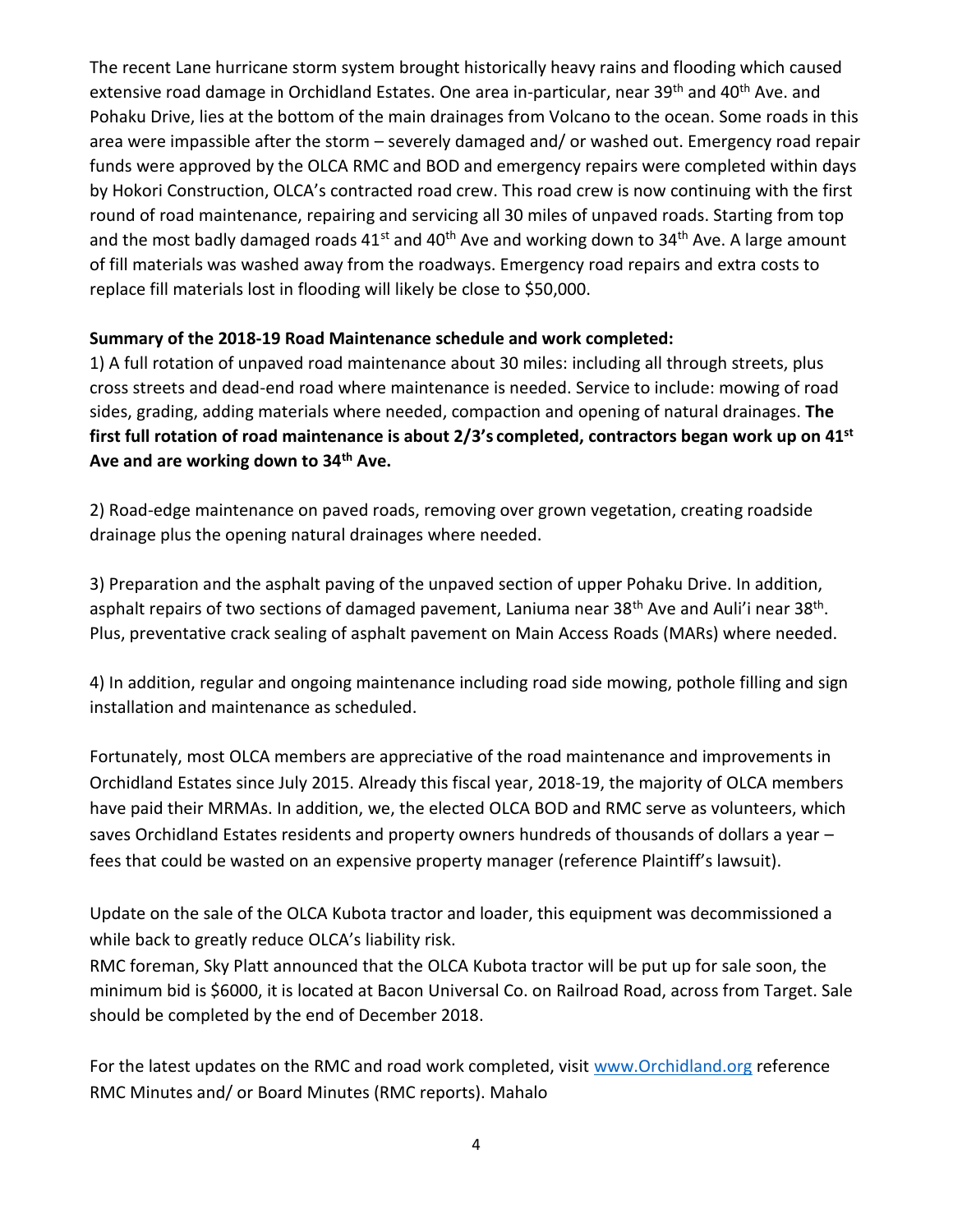The recent Lane hurricane storm system brought historically heavy rains and flooding which caused extensive road damage in Orchidland Estates. One area in-particular, near 39<sup>th</sup> and 40<sup>th</sup> Ave. and Pohaku Drive, lies at the bottom of the main drainages from Volcano to the ocean. Some roads in this area were impassible after the storm – severely damaged and/ or washed out. Emergency road repair funds were approved by the OLCA RMC and BOD and emergency repairs were completed within days by Hokori Construction, OLCA's contracted road crew. This road crew is now continuing with the first round of road maintenance, repairing and servicing all 30 miles of unpaved roads. Starting from top and the most badly damaged roads  $41^{st}$  and  $40^{th}$  Ave and working down to  $34^{th}$  Ave. A large amount of fill materials was washed away from the roadways. Emergency road repairs and extra costs to replace fill materials lost in flooding will likely be close to \$50,000.

### **Summary of the 2018-19 Road Maintenance schedule and work completed:**

1) A full rotation of unpaved road maintenance about 30 miles: including all through streets, plus cross streets and dead-end road where maintenance is needed. Service to include: mowing of road sides, grading, adding materials where needed, compaction and opening of natural drainages. **The first full rotation of road maintenance is about 2/3's completed, contractors began work up on 41st Ave and are working down to 34th Ave.**

2) Road-edge maintenance on paved roads, removing over grown vegetation, creating roadside drainage plus the opening natural drainages where needed.

3) Preparation and the asphalt paving of the unpaved section of upper Pohaku Drive. In addition, asphalt repairs of two sections of damaged pavement, Laniuma near 38<sup>th</sup> Ave and Auli'i near 38<sup>th</sup>. Plus, preventative crack sealing of asphalt pavement on Main Access Roads (MARs) where needed.

4) In addition, regular and ongoing maintenance including road side mowing, pothole filling and sign installation and maintenance as scheduled.

Fortunately, most OLCA members are appreciative of the road maintenance and improvements in Orchidland Estates since July 2015. Already this fiscal year, 2018-19, the majority of OLCA members have paid their MRMAs. In addition, we, the elected OLCA BOD and RMC serve as volunteers, which saves Orchidland Estates residents and property owners hundreds of thousands of dollars a year – fees that could be wasted on an expensive property manager (reference Plaintiff's lawsuit).

Update on the sale of the OLCA Kubota tractor and loader, this equipment was decommissioned a while back to greatly reduce OLCA's liability risk.

RMC foreman, Sky Platt announced that the OLCA Kubota tractor will be put up for sale soon, the minimum bid is \$6000, it is located at Bacon Universal Co. on Railroad Road, across from Target. Sale should be completed by the end of December 2018.

For the latest updates on the RMC and road work completed, visit [www.Orchidland.org](http://www.orchidland.org/) reference RMC Minutes and/ or Board Minutes (RMC reports). Mahalo